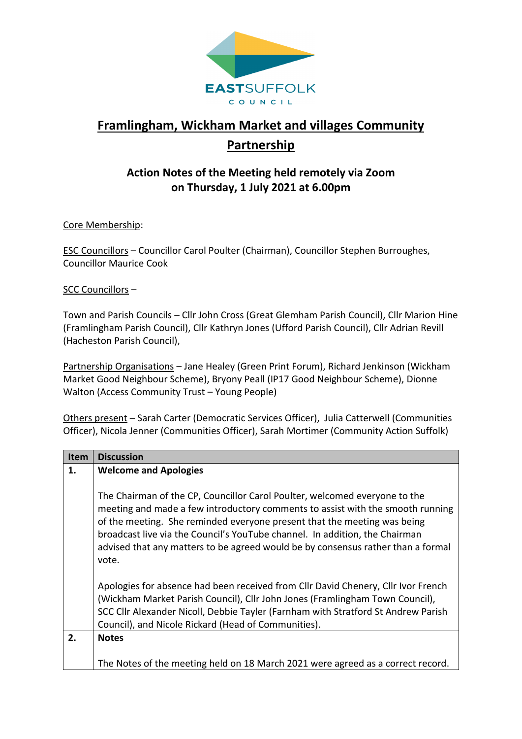

# **Framlingham, Wickham Market and villages Community Partnership**

## **Action Notes of the Meeting held remotely via Zoom on Thursday, 1 July 2021 at 6.00pm**

Core Membership:

ESC Councillors – Councillor Carol Poulter (Chairman), Councillor Stephen Burroughes, Councillor Maurice Cook

SCC Councillors –

Town and Parish Councils – Cllr John Cross (Great Glemham Parish Council), Cllr Marion Hine (Framlingham Parish Council), Cllr Kathryn Jones (Ufford Parish Council), Cllr Adrian Revill (Hacheston Parish Council),

Partnership Organisations - Jane Healey (Green Print Forum), Richard Jenkinson (Wickham Market Good Neighbour Scheme), Bryony Peall (IP17 Good Neighbour Scheme), Dionne Walton (Access Community Trust – Young People)

Others present – Sarah Carter (Democratic Services Officer), Julia Catterwell (Communities Officer), Nicola Jenner (Communities Officer), Sarah Mortimer (Community Action Suffolk)

| <b>Item</b> | <b>Discussion</b>                                                                                                                                                                                                                                                                                                                                                                                                    |
|-------------|----------------------------------------------------------------------------------------------------------------------------------------------------------------------------------------------------------------------------------------------------------------------------------------------------------------------------------------------------------------------------------------------------------------------|
| 1.          | <b>Welcome and Apologies</b>                                                                                                                                                                                                                                                                                                                                                                                         |
|             |                                                                                                                                                                                                                                                                                                                                                                                                                      |
|             | The Chairman of the CP, Councillor Carol Poulter, welcomed everyone to the<br>meeting and made a few introductory comments to assist with the smooth running<br>of the meeting. She reminded everyone present that the meeting was being<br>broadcast live via the Council's YouTube channel. In addition, the Chairman<br>advised that any matters to be agreed would be by consensus rather than a formal<br>vote. |
|             | Apologies for absence had been received from Cllr David Chenery, Cllr Ivor French<br>(Wickham Market Parish Council), Cllr John Jones (Framlingham Town Council),<br>SCC Cllr Alexander Nicoll, Debbie Tayler (Farnham with Stratford St Andrew Parish                                                                                                                                                               |
|             | Council), and Nicole Rickard (Head of Communities).                                                                                                                                                                                                                                                                                                                                                                  |
| 2.          | <b>Notes</b>                                                                                                                                                                                                                                                                                                                                                                                                         |
|             | The Notes of the meeting held on 18 March 2021 were agreed as a correct record.                                                                                                                                                                                                                                                                                                                                      |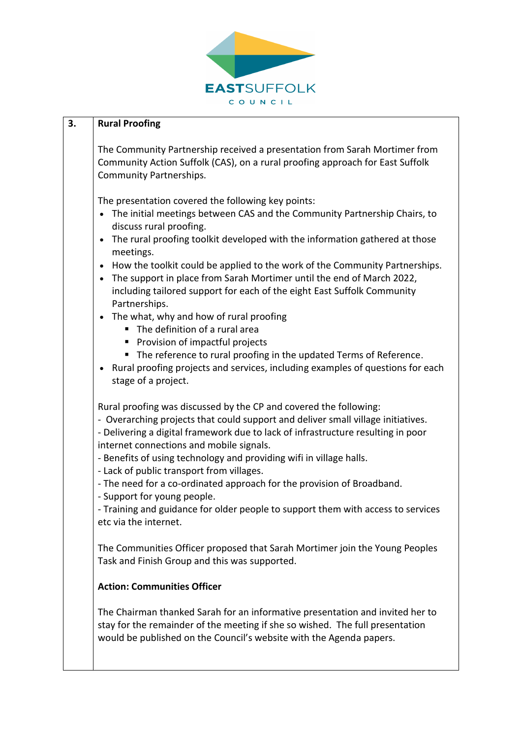

#### **3. Rural Proofing**

The Community Partnership received a presentation from Sarah Mortimer from Community Action Suffolk (CAS), on a rural proofing approach for East Suffolk Community Partnerships.

The presentation covered the following key points:

- The initial meetings between CAS and the Community Partnership Chairs, to discuss rural proofing.
- The rural proofing toolkit developed with the information gathered at those meetings.
- How the toolkit could be applied to the work of the Community Partnerships.
- The support in place from Sarah Mortimer until the end of March 2022, including tailored support for each of the eight East Suffolk Community Partnerships.
- The what, why and how of rural proofing
	- The definition of a rural area
	- Provision of impactful projects
	- The reference to rural proofing in the updated Terms of Reference.
- Rural proofing projects and services, including examples of questions for each stage of a project.

Rural proofing was discussed by the CP and covered the following:

- Overarching projects that could support and deliver small village initiatives.

- Delivering a digital framework due to lack of infrastructure resulting in poor internet connections and mobile signals.

- Benefits of using technology and providing wifi in village halls.
- Lack of public transport from villages.
- The need for a co-ordinated approach for the provision of Broadband.
- Support for young people.

- Training and guidance for older people to support them with access to services etc via the internet.

The Communities Officer proposed that Sarah Mortimer join the Young Peoples Task and Finish Group and this was supported.

#### **Action: Communities Officer**

The Chairman thanked Sarah for an informative presentation and invited her to stay for the remainder of the meeting if she so wished. The full presentation would be published on the Council's website with the Agenda papers.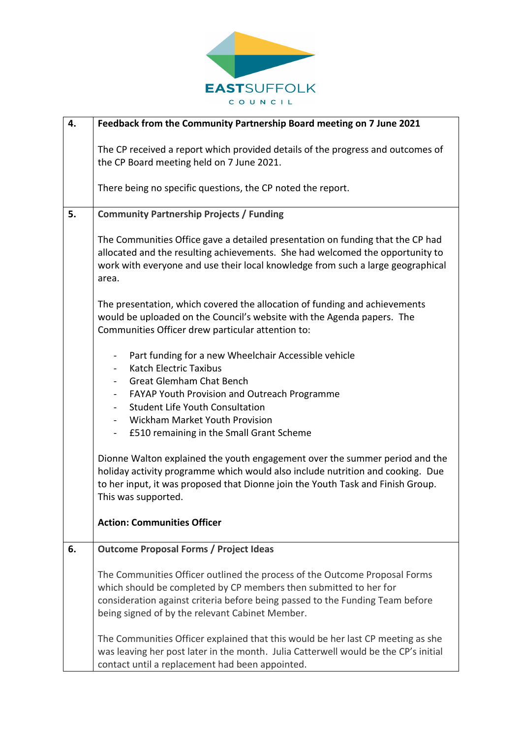

| 4. | Feedback from the Community Partnership Board meeting on 7 June 2021                                                                                                                                                                                                                |
|----|-------------------------------------------------------------------------------------------------------------------------------------------------------------------------------------------------------------------------------------------------------------------------------------|
|    | The CP received a report which provided details of the progress and outcomes of<br>the CP Board meeting held on 7 June 2021.                                                                                                                                                        |
|    | There being no specific questions, the CP noted the report.                                                                                                                                                                                                                         |
| 5. | <b>Community Partnership Projects / Funding</b>                                                                                                                                                                                                                                     |
|    | The Communities Office gave a detailed presentation on funding that the CP had<br>allocated and the resulting achievements. She had welcomed the opportunity to<br>work with everyone and use their local knowledge from such a large geographical<br>area.                         |
|    | The presentation, which covered the allocation of funding and achievements<br>would be uploaded on the Council's website with the Agenda papers. The<br>Communities Officer drew particular attention to:                                                                           |
|    | Part funding for a new Wheelchair Accessible vehicle<br>$\overline{\phantom{0}}$<br><b>Katch Electric Taxibus</b><br>$\overline{\phantom{a}}$<br><b>Great Glemham Chat Bench</b><br>$ \,$<br>FAYAP Youth Provision and Outreach Programme                                           |
|    | <b>Student Life Youth Consultation</b><br>$\blacksquare$<br>Wickham Market Youth Provision<br>£510 remaining in the Small Grant Scheme<br>$\blacksquare$                                                                                                                            |
|    | Dionne Walton explained the youth engagement over the summer period and the<br>holiday activity programme which would also include nutrition and cooking. Due<br>to her input, it was proposed that Dionne join the Youth Task and Finish Group.<br>This was supported.             |
|    | <b>Action: Communities Officer</b>                                                                                                                                                                                                                                                  |
| 6. | <b>Outcome Proposal Forms / Project Ideas</b>                                                                                                                                                                                                                                       |
|    | The Communities Officer outlined the process of the Outcome Proposal Forms<br>which should be completed by CP members then submitted to her for<br>consideration against criteria before being passed to the Funding Team before<br>being signed of by the relevant Cabinet Member. |
|    | The Communities Officer explained that this would be her last CP meeting as she<br>was leaving her post later in the month. Julia Catterwell would be the CP's initial<br>contact until a replacement had been appointed.                                                           |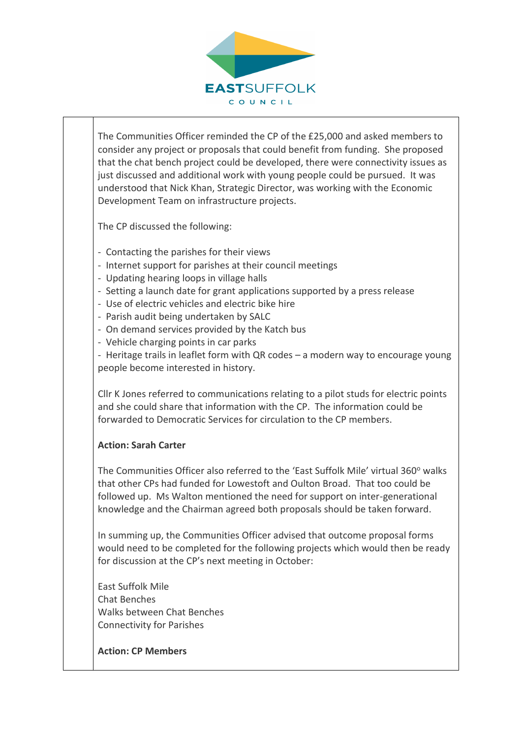

The Communities Officer reminded the CP of the £25,000 and asked members to consider any project or proposals that could benefit from funding. She proposed that the chat bench project could be developed, there were connectivity issues as just discussed and additional work with young people could be pursued. It was understood that Nick Khan, Strategic Director, was working with the Economic Development Team on infrastructure projects.

The CP discussed the following:

- Contacting the parishes for their views
- Internet support for parishes at their council meetings
- Updating hearing loops in village halls
- Setting a launch date for grant applications supported by a press release
- Use of electric vehicles and electric bike hire
- Parish audit being undertaken by SALC
- On demand services provided by the Katch bus
- Vehicle charging points in car parks

- Heritage trails in leaflet form with QR codes – a modern way to encourage young people become interested in history.

Cllr K Jones referred to communications relating to a pilot studs for electric points and she could share that information with the CP. The information could be forwarded to Democratic Services for circulation to the CP members.

### **Action: Sarah Carter**

The Communities Officer also referred to the 'East Suffolk Mile' virtual 360° walks that other CPs had funded for Lowestoft and Oulton Broad. That too could be followed up. Ms Walton mentioned the need for support on inter-generational knowledge and the Chairman agreed both proposals should be taken forward.

In summing up, the Communities Officer advised that outcome proposal forms would need to be completed for the following projects which would then be ready for discussion at the CP's next meeting in October:

East Suffolk Mile Chat Benches Walks between Chat Benches Connectivity for Parishes

**Action: CP Members**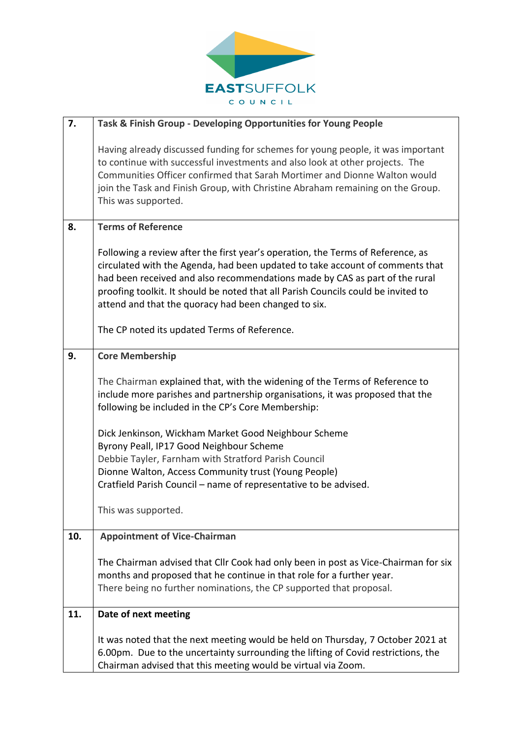

| 7.  | Task & Finish Group - Developing Opportunities for Young People                                                                                                                                                                                                                                                                                                                              |
|-----|----------------------------------------------------------------------------------------------------------------------------------------------------------------------------------------------------------------------------------------------------------------------------------------------------------------------------------------------------------------------------------------------|
|     | Having already discussed funding for schemes for young people, it was important<br>to continue with successful investments and also look at other projects. The<br>Communities Officer confirmed that Sarah Mortimer and Dionne Walton would<br>join the Task and Finish Group, with Christine Abraham remaining on the Group.<br>This was supported.                                        |
| 8.  | <b>Terms of Reference</b>                                                                                                                                                                                                                                                                                                                                                                    |
|     | Following a review after the first year's operation, the Terms of Reference, as<br>circulated with the Agenda, had been updated to take account of comments that<br>had been received and also recommendations made by CAS as part of the rural<br>proofing toolkit. It should be noted that all Parish Councils could be invited to<br>attend and that the quoracy had been changed to six. |
|     | The CP noted its updated Terms of Reference.                                                                                                                                                                                                                                                                                                                                                 |
| 9.  | <b>Core Membership</b>                                                                                                                                                                                                                                                                                                                                                                       |
|     | The Chairman explained that, with the widening of the Terms of Reference to<br>include more parishes and partnership organisations, it was proposed that the<br>following be included in the CP's Core Membership:                                                                                                                                                                           |
|     | Dick Jenkinson, Wickham Market Good Neighbour Scheme<br>Byrony Peall, IP17 Good Neighbour Scheme<br>Debbie Tayler, Farnham with Stratford Parish Council<br>Dionne Walton, Access Community trust (Young People)<br>Cratfield Parish Council - name of representative to be advised.                                                                                                         |
|     | This was supported.                                                                                                                                                                                                                                                                                                                                                                          |
| 10. | <b>Appointment of Vice-Chairman</b>                                                                                                                                                                                                                                                                                                                                                          |
|     | The Chairman advised that Cllr Cook had only been in post as Vice-Chairman for six<br>months and proposed that he continue in that role for a further year.<br>There being no further nominations, the CP supported that proposal.                                                                                                                                                           |
| 11. | Date of next meeting                                                                                                                                                                                                                                                                                                                                                                         |
|     | It was noted that the next meeting would be held on Thursday, 7 October 2021 at<br>6.00pm. Due to the uncertainty surrounding the lifting of Covid restrictions, the<br>Chairman advised that this meeting would be virtual via Zoom.                                                                                                                                                        |